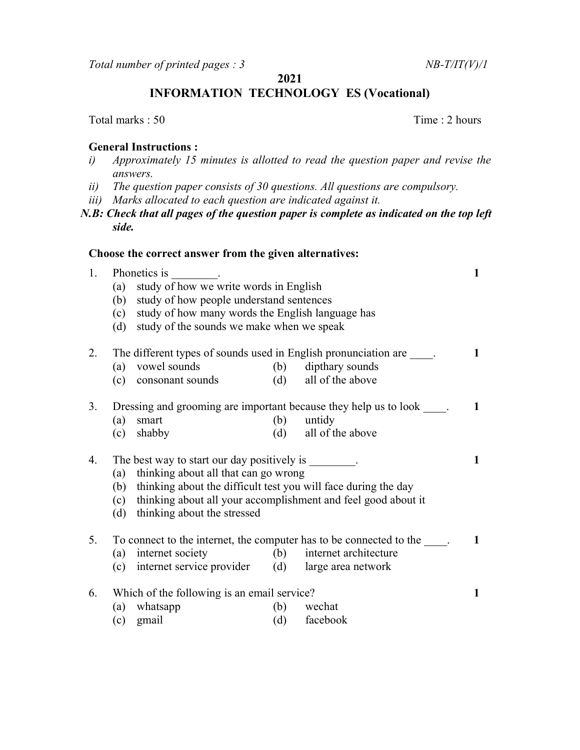2021

INFORMATION TECHNOLOGY ES (Vocational)

Total marks : 50 Time : 2 hours

## General Instructions :

- i) Approximately 15 minutes is allotted to read the question paper and revise the answers.
- ii) The question paper consists of 30 questions. All questions are compulsory.
- iii) Marks allocated to each question are indicated against it.
- N.B: Check that all pages of the question paper is complete as indicated on the top left side.

## Choose the correct answer from the given alternatives:

| 1. | Phonetics is                                                            |                                                                    |  |                      |  |  |  |
|----|-------------------------------------------------------------------------|--------------------------------------------------------------------|--|----------------------|--|--|--|
|    |                                                                         | study of how we write words in English<br>(a)                      |  |                      |  |  |  |
|    |                                                                         | study of how people understand sentences<br>(b)                    |  |                      |  |  |  |
|    |                                                                         | (c) study of how many words the English language has               |  |                      |  |  |  |
|    |                                                                         | (d) study of the sounds we make when we speak                      |  |                      |  |  |  |
| 2. | The different types of sounds used in English pronunciation are .       |                                                                    |  |                      |  |  |  |
|    |                                                                         | (a) vowel sounds                                                   |  | (b) dipthary sounds  |  |  |  |
|    |                                                                         | (c) consonant sounds (d) all of the above                          |  |                      |  |  |  |
| 3. | Dressing and grooming are important because they help us to look _____. |                                                                    |  |                      |  |  |  |
|    | (a)                                                                     | smart                                                              |  | (b) untidy           |  |  |  |
|    |                                                                         | (c) shabby                                                         |  | (d) all of the above |  |  |  |
| 4. | The best way to start our day positively is _________.                  |                                                                    |  |                      |  |  |  |
|    |                                                                         | (a) thinking about all that can go wrong                           |  |                      |  |  |  |
|    |                                                                         | (b) thinking about the difficult test you will face during the day |  |                      |  |  |  |
|    |                                                                         | (c) thinking about all your accomplishment and feel good about it  |  |                      |  |  |  |
|    |                                                                         | (d) thinking about the stressed                                    |  |                      |  |  |  |
| 5. | To connect to the internet, the computer has to be connected to the .   |                                                                    |  |                      |  |  |  |
|    |                                                                         | (a) internet society (b) internet architecture                     |  |                      |  |  |  |
|    |                                                                         | (c) internet service provider (d) large area network               |  |                      |  |  |  |
| 6. | Which of the following is an email service?                             |                                                                    |  |                      |  |  |  |
|    |                                                                         | (a) whatsapp                                                       |  | (b) wechat           |  |  |  |
|    |                                                                         | (c) gmail                                                          |  | (d) facebook         |  |  |  |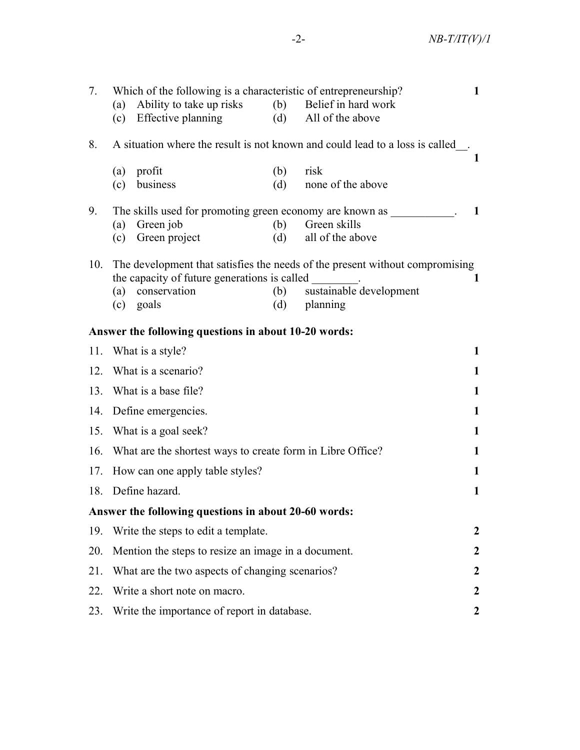| 7.                                                   | (a)<br>(c)                                                                    | Which of the following is a characteristic of entrepreneurship?<br>Ability to take up risks<br>Effective planning | (d)        | $\mathbf{1}$<br>(b) Belief in hard work<br>All of the above                                                              |  |  |  |  |
|------------------------------------------------------|-------------------------------------------------------------------------------|-------------------------------------------------------------------------------------------------------------------|------------|--------------------------------------------------------------------------------------------------------------------------|--|--|--|--|
| 8.                                                   | A situation where the result is not known and could lead to a loss is called. |                                                                                                                   |            |                                                                                                                          |  |  |  |  |
|                                                      | (a)<br>(c)                                                                    | profit<br>business                                                                                                | (b)<br>(d) | 1<br>risk<br>none of the above                                                                                           |  |  |  |  |
| 9.                                                   | (a)<br>(c)                                                                    | Green job<br>Green project                                                                                        | (b)<br>(d) | The skills used for promoting green economy are known as<br>1<br>Green skills<br>all of the above                        |  |  |  |  |
| 10.                                                  | (a)                                                                           | the capacity of future generations is called<br>conservation<br>$(c)$ goals                                       | (b)<br>(d) | The development that satisfies the needs of the present without compromising<br>1<br>sustainable development<br>planning |  |  |  |  |
| Answer the following questions in about 10-20 words: |                                                                               |                                                                                                                   |            |                                                                                                                          |  |  |  |  |
| 11.                                                  |                                                                               | What is a style?                                                                                                  |            | $\mathbf{1}$                                                                                                             |  |  |  |  |
| 12.                                                  | What is a scenario?                                                           |                                                                                                                   |            |                                                                                                                          |  |  |  |  |
| 13.                                                  | What is a base file?                                                          |                                                                                                                   |            |                                                                                                                          |  |  |  |  |
| 14.                                                  | Define emergencies.                                                           |                                                                                                                   |            |                                                                                                                          |  |  |  |  |
| 15.                                                  | What is a goal seek?                                                          |                                                                                                                   |            |                                                                                                                          |  |  |  |  |
| 16.                                                  | What are the shortest ways to create form in Libre Office?                    |                                                                                                                   |            |                                                                                                                          |  |  |  |  |
| 17.                                                  | How can one apply table styles?                                               |                                                                                                                   |            |                                                                                                                          |  |  |  |  |
| 18.                                                  |                                                                               | Define hazard.                                                                                                    |            | 1                                                                                                                        |  |  |  |  |
|                                                      |                                                                               | Answer the following questions in about 20-60 words:                                                              |            |                                                                                                                          |  |  |  |  |
| 19.                                                  |                                                                               | Write the steps to edit a template.                                                                               |            | 2                                                                                                                        |  |  |  |  |
| 20.                                                  | Mention the steps to resize an image in a document.                           |                                                                                                                   |            |                                                                                                                          |  |  |  |  |
| 21.                                                  | What are the two aspects of changing scenarios?                               |                                                                                                                   |            |                                                                                                                          |  |  |  |  |
| 22.                                                  | Write a short note on macro.                                                  |                                                                                                                   |            |                                                                                                                          |  |  |  |  |
| 23.                                                  | Write the importance of report in database.                                   |                                                                                                                   |            |                                                                                                                          |  |  |  |  |